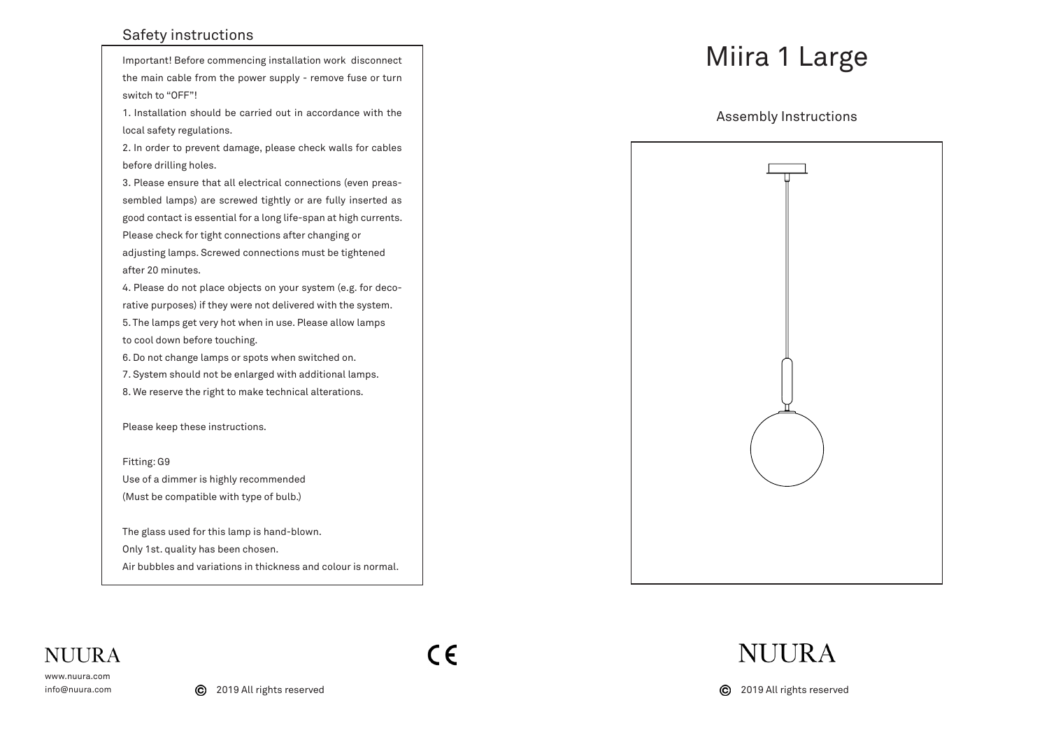## Safety instructions

Important! Before commencing installation work disconnect the main cable from the power supply - remove fuse or turn switch to "OFF"!

1. Installation should be carried out in accordance with the local safety regulations.

2. In order to prevent damage, please check walls for cables before drilling holes.

3. Please ensure that all electrical connections (even preassembled lamps) are screwed tightly or are fully inserted as good contact is essential for a long life-span at high currents. Please check for tight connections after changing or adjusting lamps. Screwed connections must be tightened after 20 minutes.

4. Please do not place objects on your system (e.g. for decorative purposes) if they were not delivered with the system. 5. The lamps get very hot when in use. Please allow lamps to cool down before touching.

6. Do not change lamps or spots when switched on.

7. System should not be enlarged with additional lamps. 8. We reserve the right to make technical alterations.

Please keep these instructions.

Fitting: G9 Use of a dimmer is highly recommended (Must be compatible with type of bulb.)

The glass used for this lamp is hand-blown. Only 1st. quality has been chosen. Air bubbles and variations in thickness and colour is normal.

## Miira 1 Large

Assembly Instructions



## **NUIRA**

www.nuura.com info@nuura.com  $C \in$